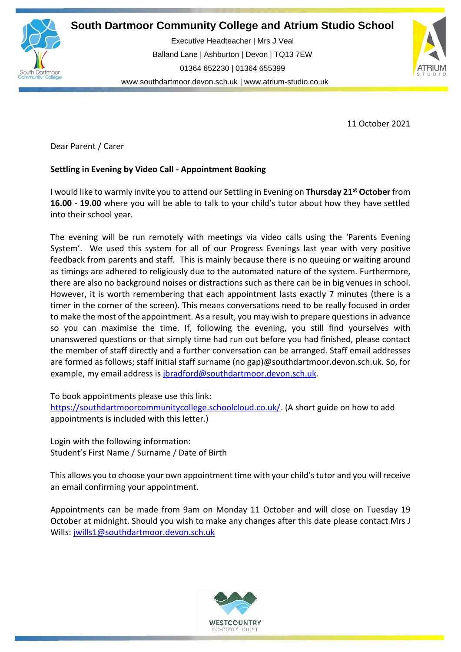

**South Dartmoor Community College and Atrium Studio School** 

**So** Balland Lane | Ashburton | Devon | TQ13 7EW Executive Headteacher | Mrs J Veal 01364 652230 | 01364 655399 [www.southdartmoor.devon.sch.uk](http://www.southdartmoor.devon.sch.uk/) | [www.atrium-studio.co.uk](http://www.atrium-studio.co.uk/)



11 October 2021

Dear Parent / Carer

# **Settling in Evening by Video Call - Appointment Booking**

I would like to warmly invite you to attend our Settling in Evening on **Thursday 21st October** from **16.00 - 19.00** where you will be able to talk to your child's tutor about how they have settled into their school year.

The evening will be run remotely with meetings via video calls using the 'Parents Evening System'. We used this system for all of our Progress Evenings last year with very positive feedback from parents and staff. This is mainly because there is no queuing or waiting around as timings are adhered to religiously due to the automated nature of the system. Furthermore, there are also no background noises or distractions such as there can be in big venues in school. However, it is worth remembering that each appointment lasts exactly 7 minutes (there is a timer in the corner of the screen). This means conversations need to be really focused in order to make the most of the appointment. As a result, you may wish to prepare questions in advance so you can maximise the time. If, following the evening, you still find yourselves with unanswered questions or that simply time had run out before you had finished, please contact the member of staff directly and a further conversation can be arranged. Staff email addresses are formed as follows; staff initial staff surname (no gap)@southdartmoor.devon.sch.uk. So, for example, my email address is [jbradford@southdartmoor.devon.sch.uk.](mailto:jbradford@southdartmoor.devon.sch.uk)

To book appointments please use this link:

[https://southdartmoorcommunitycollege.schoolcloud.co.uk/.](https://southdartmoorcommunitycollege.schoolcloud.co.uk/) (A short guide on how to add appointments is included with this letter.)

Login with the following information: Student's First Name / Surname / Date of Birth

This allows you to choose your own appointment time with your child'stutor and you will receive an email confirming your appointment.

Appointments can be made from 9am on Monday 11 October and will close on Tuesday 19 October at midnight. Should you wish to make any changes after this date please contact Mrs J Wills: [jwills1@southdartmoor.devon.sch.uk](mailto:jwills1@southdartmoor.devon.sch.uk)

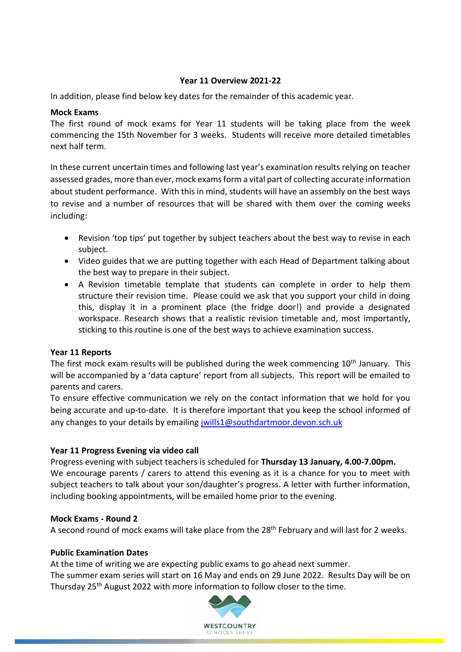### **Year 11 Overview 2021-22**

In addition, please find below key dates for the remainder of this academic year.

### **Mock Exams**

The first round of mock exams for Year 11 students will be taking place from the week commencing the 15th November for 3 weeks. Students will receive more detailed timetables next half term.

In these current uncertain times and following last year's examination results relying on teacher assessed grades, more than ever, mock exams form a vital part of collecting accurate information about student performance. With this in mind, students will have an assembly on the best ways to revise and a number of resources that will be shared with them over the coming weeks including:

- Revision 'top tips' put together by subject teachers about the best way to revise in each subject.
- Video guides that we are putting together with each Head of Department talking about the best way to prepare in their subject.
- A Revision timetable template that students can complete in order to help them structure their revision time. Please could we ask that you support your child in doing this, display it in a prominent place (the fridge door!) and provide a designated workspace. Research shows that a realistic revision timetable and, most importantly, sticking to this routine is one of the best ways to achieve examination success.

## **Year 11 Reports**

The first mock exam results will be published during the week commencing  $10<sup>th</sup>$  January. This will be accompanied by a 'data capture' report from all subjects. This report will be emailed to parents and carers.

To ensure effective communication we rely on the contact information that we hold for you being accurate and up-to-date. It is therefore important that you keep the school informed of any changes to your details by emailing [jwills1@southdartmoor.devon.sch.uk](mailto:jwills1@southdartmoor.devon.sch.uk)

## **Year 11 Progress Evening via video call**

Progress evening with subject teachers is scheduled for **Thursday 13 January, 4.00-7.00pm.** We encourage parents / carers to attend this evening as it is a chance for you to meet with subject teachers to talk about your son/daughter's progress. A letter with further information, including booking appointments, will be emailed home prior to the evening.

#### **Mock Exams - Round 2**

A second round of mock exams will take place from the 28<sup>th</sup> February and will last for 2 weeks.

#### **Public Examination Dates**

At the time of writing we are expecting public exams to go ahead next summer.

The summer exam series will start on 16 May and ends on 29 June 2022. Results Day will be on Thursday 25<sup>th</sup> August 2022 with more information to follow closer to the time.